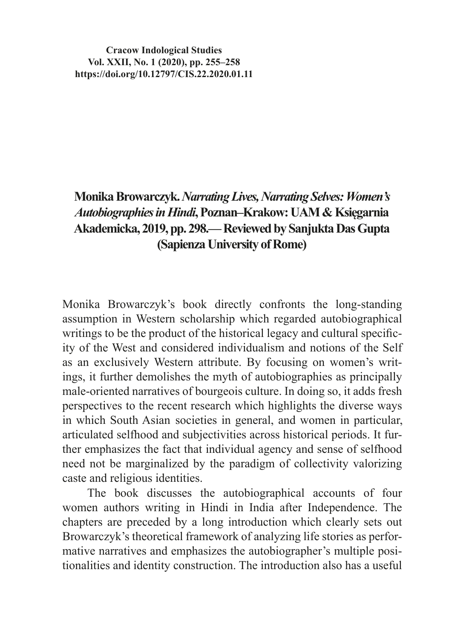**Cracow Indological Studies Vol. XXII, No. 1 (2020), pp. 255–258 https://doi.org/10.12797/CIS.22.2020.01.11**

## **Monika Browarczyk.***Narrating Lives, Narrating Selves:Women's Autobiographies in Hindi***,Poznan–Krakow: UAM & Księgarnia Akademicka, 2019, pp. 298.— Reviewed by Sanjukta Das Gupta (Sapienza University of Rome)**

Monika Browarczyk's book directly confronts the long-standing assumption in Western scholarship which regarded autobiographical writings to be the product of the historical legacy and cultural specificity of the West and considered individualism and notions of the Self as an exclusively Western attribute. By focusing on women's writings, it further demolishes the myth of autobiographies as principally male-oriented narratives of bourgeois culture. In doing so, it adds fresh perspectives to the recent research which highlights the diverse ways in which South Asian societies in general, and women in particular, articulated selfhood and subjectivities across historical periods. It further emphasizes the fact that individual agency and sense of selfhood need not be marginalized by the paradigm of collectivity valorizing caste and religious identities.

The book discusses the autobiographical accounts of four women authors writing in Hindi in India after Independence. The chapters are preceded by a long introduction which clearly sets out Browarczyk's theoretical framework of analyzing life stories as performative narratives and emphasizes the autobiographer's multiple positionalities and identity construction. The introduction also has a useful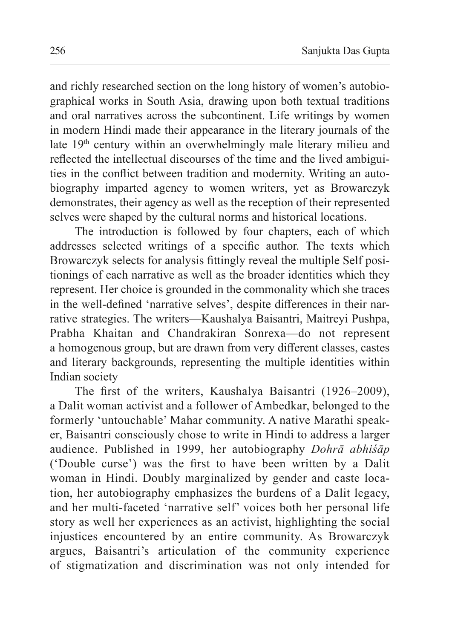and richly researched section on the long history of women's autobiographical works in South Asia, drawing upon both textual traditions and oral narratives across the subcontinent. Life writings by women in modern Hindi made their appearance in the literary journals of the late 19<sup>th</sup> century within an overwhelmingly male literary milieu and reflected the intellectual discourses of the time and the lived ambiguities in the conflict between tradition and modernity. Writing an autobiography imparted agency to women writers, yet as Browarczyk demonstrates, their agency as well as the reception of their represented selves were shaped by the cultural norms and historical locations.

The introduction is followed by four chapters, each of which addresses selected writings of a specific author. The texts which Browarczyk selects for analysis fittingly reveal the multiple Self positionings of each narrative as well as the broader identities which they represent. Her choice is grounded in the commonality which she traces in the well-defined 'narrative selves', despite differences in their narrative strategies. The writers—Kaushalya Baisantri, Maitreyi Pushpa, Prabha Khaitan and Chandrakiran Sonrexa—do not represent a homogenous group, but are drawn from very different classes, castes and literary backgrounds, representing the multiple identities within Indian society

The first of the writers, Kaushalya Baisantri (1926–2009), a Dalit woman activist and a follower of Ambedkar, belonged to the formerly 'untouchable' Mahar community. A native Marathi speaker, Baisantri consciously chose to write in Hindi to address a larger audience. Published in 1999, her autobiography *Dohrā abhiśāp* ('Double curse') was the first to have been written by a Dalit woman in Hindi. Doubly marginalized by gender and caste location, her autobiography emphasizes the burdens of a Dalit legacy, and her multi-faceted 'narrative self' voices both her personal life story as well her experiences as an activist, highlighting the social injustices encountered by an entire community. As Browarczyk argues, Baisantri's articulation of the community experience of stigmatization and discrimination was not only intended for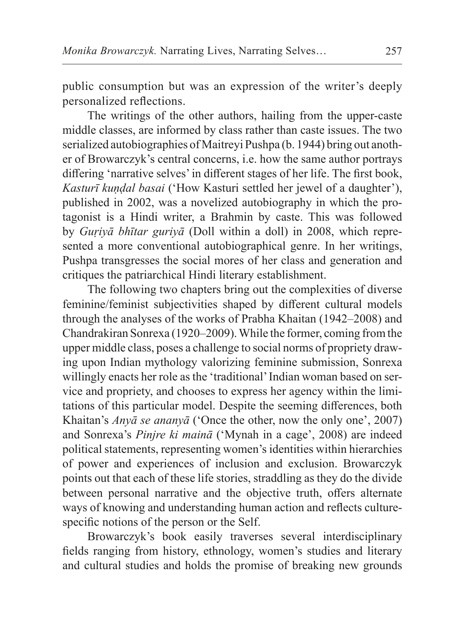public consumption but was an expression of the writer's deeply personalized reflections.

The writings of the other authors, hailing from the upper-caste middle classes, are informed by class rather than caste issues. The two serialized autobiographies of Maitreyi Pushpa (b. 1944) bring out another of Browarczyk's central concerns, i.e. how the same author portrays differing 'narrative selves' in different stages of her life. The first book, *Kasturῑ kuṇḍal basai* ('How Kasturi settled her jewel of a daughter'), published in 2002, was a novelized autobiography in which the protagonist is a Hindi writer, a Brahmin by caste. This was followed by *Guriyā bhītar guriyā* (Doll within a doll) in 2008, which represented a more conventional autobiographical genre. In her writings, Pushpa transgresses the social mores of her class and generation and critiques the patriarchical Hindi literary establishment.

The following two chapters bring out the complexities of diverse feminine/feminist subjectivities shaped by different cultural models through the analyses of the works of Prabha Khaitan (1942–2008) and Chandrakiran Sonrexa (1920–2009). While the former, coming from the upper middle class, poses a challenge to social norms of propriety drawing upon Indian mythology valorizing feminine submission, Sonrexa willingly enacts her role as the 'traditional' Indian woman based on service and propriety, and chooses to express her agency within the limitations of this particular model. Despite the seeming differences, both Khaitan's *Anyā se ananyā* ('Once the other, now the only one', 2007) and Sonrexa's *Pinjre ki mainā* ('Mynah in a cage', 2008) are indeed political statements, representing women's identities within hierarchies of power and experiences of inclusion and exclusion. Browarczyk points out that each of these life stories, straddling as they do the divide between personal narrative and the objective truth, offers alternate ways of knowing and understanding human action and reflects culturespecific notions of the person or the Self.

Browarczyk's book easily traverses several interdisciplinary fields ranging from history, ethnology, women's studies and literary and cultural studies and holds the promise of breaking new grounds